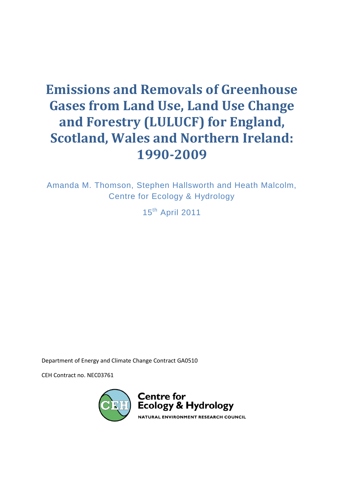# **Emissions and Removals of Greenhouse Gases from Land Use, Land Use Change and Forestry (LULUCF) for England, Scotland, Wales and Northern Ireland: 1990-2009**

Amanda M. Thomson, Stephen Hallsworth and Heath Malcolm, Centre for Ecology & Hydrology

15<sup>th</sup> April 2011

Department of Energy and Climate Change Contract GA0510

CEH Contract no. NEC03761

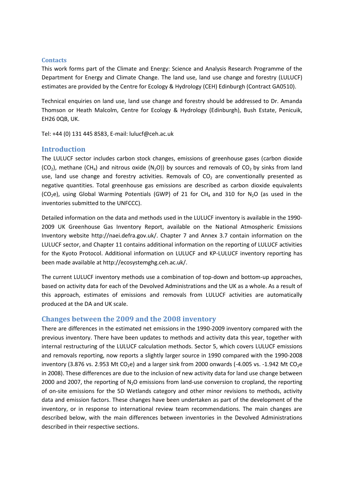## **Contacts**

This work forms part of the Climate and Energy: Science and Analysis Research Programme of the Department for Energy and Climate Change. The land use, land use change and forestry (LULUCF) estimates are provided by the Centre for Ecology & Hydrology (CEH) Edinburgh (Contract GA0510).

Technical enquiries on land use, land use change and forestry should be addressed to Dr. Amanda Thomson or Heath Malcolm, Centre for Ecology & Hydrology (Edinburgh), Bush Estate, Penicuik, EH26 0QB, UK.

Tel: +44 (0) 131 445 8583, E-mail: lulucf@ceh.ac.uk

# **Introduction**

The LULUCF sector includes carbon stock changes, emissions of greenhouse gases (carbon dioxide (CO<sub>2</sub>), methane (CH<sub>4</sub>) and nitrous oxide (N<sub>2</sub>O)) by sources and removals of CO<sub>2</sub> by sinks from land use, land use change and forestry activities. Removals of  $CO<sub>2</sub>$  are conventionally presented as negative quantities. Total greenhouse gas emissions are described as carbon dioxide equivalents (CO<sub>2</sub>e), using Global Warming Potentials (GWP) of 21 for CH<sub>4</sub> and 310 for N<sub>2</sub>O (as used in the inventories submitted to the UNFCCC).

Detailed information on the data and methods used in the LULUCF inventory is available in the 1990- 2009 UK Greenhouse Gas Inventory Report, available on the National Atmospheric Emissions Inventory website [http://naei.defra.gov.uk/.](http://naei.defra.gov.uk/) Chapter 7 and Annex 3.7 contain information on the LULUCF sector, and Chapter 11 contains additional information on the reporting of LULUCF activities for the Kyoto Protocol. Additional information on LULUCF and KP-LULUCF inventory reporting has been made available at [http://ecosystemghg.ceh.ac.uk/.](http://ecosystemghg.ceh.ac.uk/)

The current LULUCF inventory methods use a combination of top-down and bottom-up approaches, based on activity data for each of the Devolved Administrations and the UK as a whole. As a result of this approach, estimates of emissions and removals from LULUCF activities are automatically produced at the DA and UK scale.

# **Changes between the 2009 and the 2008 inventory**

There are differences in the estimated net emissions in the 1990-2009 inventory compared with the previous inventory. There have been updates to methods and activity data this year, together with internal restructuring of the LULUCF calculation methods. Sector 5, which covers LULUCF emissions and removals reporting, now reports a slightly larger source in 1990 compared with the 1990-2008 inventory (3.876 vs. 2.953 Mt CO<sub>2</sub>e) and a larger sink from 2000 onwards (-4.005 vs. -1.942 Mt CO<sub>2</sub>e) in 2008). These differences are due to the inclusion of new activity data for land use change between 2000 and 2007, the reporting of  $N<sub>2</sub>O$  emissions from land-use conversion to cropland, the reporting of on-site emissions for the 5D Wetlands category and other minor revisions to methods, activity data and emission factors. These changes have been undertaken as part of the development of the inventory, or in response to international review team recommendations. The main changes are described below, with the main differences between inventories in the Devolved Administrations described in their respective sections.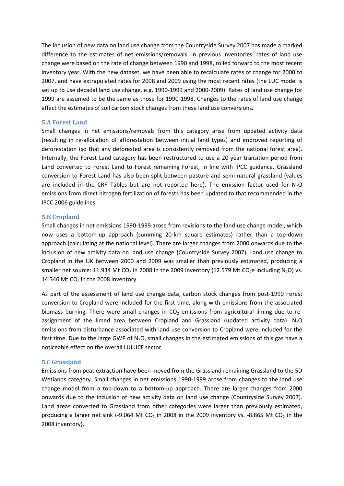The inclusion of new data on land use change from the Countryside Survey 2007 has made a marked difference to the estimates of net emissions/removals. In previous inventories, rates of land use change were based on the rate of change between 1990 and 1998, rolled forward to the most recent inventory year. With the new dataset, we have been able to recalculate rates of change for 2000 to 2007, and have extrapolated rates for 2008 and 2009 using the most recent rates (the LUC model is set up to use decadal land use change, e.g. 1990-1999 and 2000-2009). Rates of land use change for 1999 are assumed to be the same as those for 1990-1998. Changes to the rates of land use change affect the estimates of soil carbon stock changes from these land use conversions.

#### **5.A Forest Land**

Small changes in net emissions/removals from this category arise from updated activity data (resulting in re-allocation of afforestation between initial land types) and improved reporting of deforestation (so that any deforested area is consistently removed from the national forest area). Internally, the Forest Land category has been restructured to use a 20 year transition period from Land converted to Forest Land to Forest remaining Forest, in line with IPCC guidance. Grassland conversion to Forest Land has also been split between pasture and semi-natural grassland (values are included in the CRF Tables but are not reported here). The emission factor used for  $N_2O$ emissions from direct nitrogen fertilization of forests has been updated to that recommended in the IPCC 2006 guidelines.

#### **5.B Cropland**

Small changes in net emissions 1990-1999 arose from revisions to the land use change model, which now uses a bottom-up approach (summing 20-km square estimates) rather than a top-down approach (calculating at the national level). There are larger changes from 2000 onwards due to the inclusion of new activity data on land use change (Countryside Survey 2007). Land use change to Cropland in the UK between 2000 and 2009 was smaller than previously estimated, producing a smaller net source: 11.934 Mt CO<sub>2</sub> in 2008 in the 2009 inventory (12.579 Mt CO<sub>2</sub>e including N<sub>2</sub>O) vs. 14.346 Mt  $CO<sub>2</sub>$  in the 2008 inventory.

As part of the assessment of land use change data, carbon stock changes from post-1990 Forest conversion to Cropland were included for the first time, along with emissions from the associated biomass burning. There were small changes in  $CO<sub>2</sub>$  emissions from agricultural liming due to reassignment of the limed area between Cropland and Grassland (updated activity data).  $N_2O$ emissions from disturbance associated with land use conversion to Cropland were included for the first time. Due to the large GWP of  $N_2O$ , small changes in the estimated emissions of this gas have a noticeable effect on the overall LULUCF sector.

#### **5.C Grassland**

Emissions from peat extraction have been moved from the Grassland remaining Grassland to the 5D Wetlands category. Small changes in net emissions 1990-1999 arose from changes to the land use change model from a top-down to a bottom-up approach. There are larger changes from 2000 onwards due to the inclusion of new activity data on land use change (Countryside Survey 2007). Land areas converted to Grassland from other categories were larger than previously estimated, producing a larger net sink (-9.064 Mt CO<sub>2</sub> in 2008 in the 2009 inventory vs. -8.865 Mt CO<sub>2</sub> in the 2008 inventory).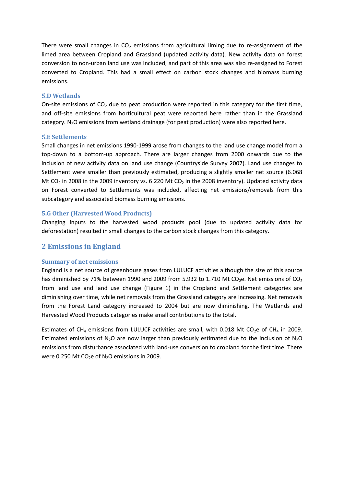There were small changes in  $CO<sub>2</sub>$  emissions from agricultural liming due to re-assignment of the limed area between Cropland and Grassland (updated activity data). New activity data on forest conversion to non-urban land use was included, and part of this area was also re-assigned to Forest converted to Cropland. This had a small effect on carbon stock changes and biomass burning emissions.

### **5.D Wetlands**

On-site emissions of CO<sub>2</sub> due to peat production were reported in this category for the first time, and off-site emissions from horticultural peat were reported here rather than in the Grassland category.  $N_2O$  emissions from wetland drainage (for peat production) were also reported here.

## **5.E Settlements**

Small changes in net emissions 1990-1999 arose from changes to the land use change model from a top-down to a bottom-up approach. There are larger changes from 2000 onwards due to the inclusion of new activity data on land use change (Countryside Survey 2007). Land use changes to Settlement were smaller than previously estimated, producing a slightly smaller net source (6.068 Mt CO<sub>2</sub> in 2008 in the 2009 inventory vs. 6.220 Mt CO<sub>2</sub> in the 2008 inventory). Updated activity data on Forest converted to Settlements was included, affecting net emissions/removals from this subcategory and associated biomass burning emissions.

## **5.G Other (Harvested Wood Products)**

Changing inputs to the harvested wood products pool (due to updated activity data for deforestation) resulted in small changes to the carbon stock changes from this category.

# **2 Emissions in England**

### **Summary of net emissions**

England is a net source of greenhouse gases from LULUCF activities although the size of this source has diminished by 71% between 1990 and 2009 from 5.932 to 1.710 Mt CO<sub>2</sub>e. Net emissions of CO<sub>2</sub> from land use and land use change [\(Figure 1\)](#page-4-0) in the Cropland and Settlement categories are diminishing over time, while net removals from the Grassland category are increasing. Net removals from the Forest Land category increased to 2004 but are now diminishing. The Wetlands and Harvested Wood Products categories make small contributions to the total.

Estimates of CH<sub>4</sub> emissions from LULUCF activities are small, with 0.018 Mt CO<sub>2</sub>e of CH<sub>4</sub> in 2009. Estimated emissions of  $N_2O$  are now larger than previously estimated due to the inclusion of  $N_2O$ emissions from disturbance associated with land-use conversion to cropland for the first time. There were 0.250 Mt  $CO<sub>2</sub>e$  of N<sub>2</sub>O emissions in 2009.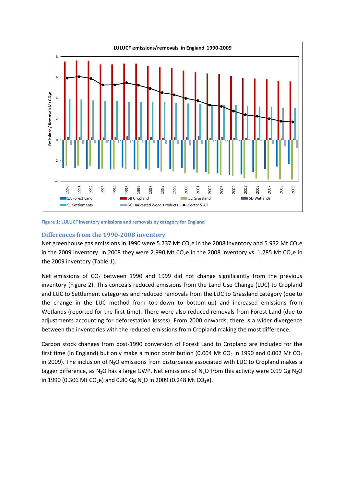

<span id="page-4-0"></span>**Figure 1: LULUCF inventory emissions and removals by category for England**

## **Differences from the 1990-2008 inventory**

Net greenhouse gas emissions in 1990 were 5.737 Mt CO<sub>2</sub>e in the 2008 inventory and 5.932 Mt CO<sub>2</sub>e in the 2009 inventory. In 2008 they were 2.990 Mt  $CO<sub>2</sub>e$  in the 2008 inventory vs. 1.785 Mt  $CO<sub>2</sub>e$  in the 2009 inventory [\(Table 1\)](#page-5-0).

Net emissions of  $CO<sub>2</sub>$  between 1990 and 1999 did not change significantly from the previous inventory [\(Figure 2\)](#page-5-1). This conceals reduced emissions from the Land Use Change (LUC) to Cropland and LUC to Settlement categories and reduced removals from the LUC to Grassland category (due to the change in the LUC method from top-down to bottom-up) and increased emissions from Wetlands (reported for the first time). There were also reduced removals from Forest Land (due to adjustments accounting for deforestation losses). From 2000 onwards, there is a wider divergence between the inventories with the reduced emissions from Cropland making the most difference.

Carbon stock changes from post-1990 conversion of Forest Land to Cropland are included for the first time (in England) but only make a minor contribution (0.004 Mt CO<sub>2</sub> in 1990 and 0.002 Mt CO<sub>2</sub> in 2009). The inclusion of  $N_2O$  emissions from disturbance associated with LUC to Cropland makes a bigger difference, as N<sub>2</sub>O has a large GWP. Net emissions of N<sub>2</sub>O from this activity were 0.99 Gg N<sub>2</sub>O in 1990 (0.306 Mt CO<sub>2</sub>e) and 0.80 Gg N<sub>2</sub>O in 2009 (0.248 Mt CO<sub>2</sub>e).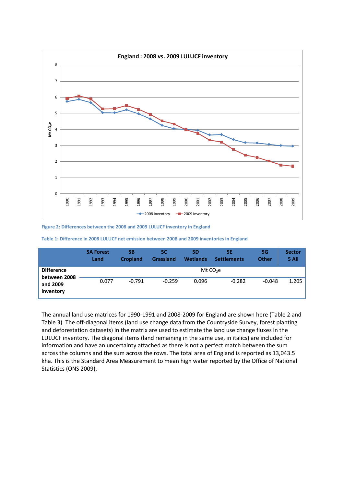

<span id="page-5-1"></span>**Figure 2: Differences between the 2008 and 2009 LULUCF inventory in England**

<span id="page-5-0"></span>

|                                   | <b>5A Forest</b><br>Land | 5Β<br><b>Cropland</b> | 5C<br><b>Grassland</b> | <b>5D</b><br><b>Wetlands</b> | 5Е<br><b>Settlements</b> | <b>5G</b><br><b>Other</b> | <b>Sector</b><br>5 All |
|-----------------------------------|--------------------------|-----------------------|------------------------|------------------------------|--------------------------|---------------------------|------------------------|
| <b>Difference</b><br>between 2008 |                          |                       |                        |                              | Mt $CO2e$                |                           |                        |
| and 2009<br>inventory             | 0.077                    | $-0.791$              | $-0.259$               | 0.096                        | $-0.282$                 | $-0.048$                  | 1.205                  |

The annual land use matrices for 1990-1991 and 2008-2009 for England are shown here [\(Table 2](#page-6-0) and [Table 3\)](#page-6-1). The off-diagonal items (land use change data from the Countryside Survey, forest planting and deforestation datasets) in the matrix are used to estimate the land use change fluxes in the LULUCF inventory. The diagonal items (land remaining in the same use, in italics) are included for information and have an uncertainty attached as there is not a perfect match between the sum across the columns and the sum across the rows. The total area of England is reported as 13,043.5 kha. This is the Standard Area Measurement to mean high water reported by the Office of National Statistics (ONS 2009).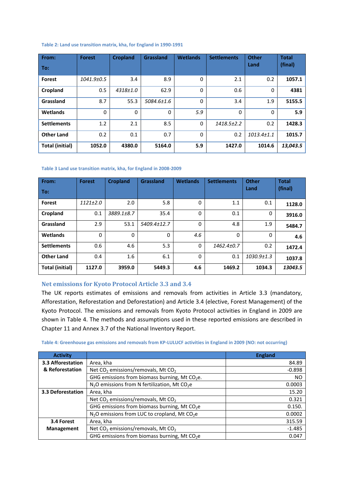#### <span id="page-6-0"></span>**Table 2: Land use transition matrix, kha, for England in 1990-1991**

| From:                  | <b>Forest</b> | <b>Cropland</b> | Grassland  | <b>Wetlands</b> | <b>Settlements</b> | <b>Other</b>     | <b>Total</b> |
|------------------------|---------------|-----------------|------------|-----------------|--------------------|------------------|--------------|
| To:                    |               |                 |            |                 |                    | Land             | (final)      |
| <b>Forest</b>          | 1041.9±0.5    | 3.4             | 8.9        | 0               | 2.1                | 0.2              | 1057.1       |
| Cropland               | 0.5           | 4318±1.0        | 62.9       | 0               | 0.6                | $\Omega$         | 4381         |
| Grassland              | 8.7           | 55.3            | 5084.6±1.6 | 0               | 3.4                | 1.9              | 5155.5       |
| Wetlands               | $\mathbf{0}$  | $\Omega$        | $\Omega$   | 5.9             | $\Omega$           | $\Omega$         | 5.9          |
| <b>Settlements</b>     | 1.2           | 2.1             | 8.5        | $\Omega$        | 1418.5±2.2         | 0.2              | 1428.3       |
| <b>Other Land</b>      | 0.2           | 0.1             | 0.7        | 0               | 0.2                | $1013.4 \pm 1.1$ | 1015.7       |
| <b>Total (initial)</b> | 1052.0        | 4380.0          | 5164.0     | 5.9             | 1427.0             | 1014.6           | 13,043.5     |

#### <span id="page-6-1"></span>**Table 3 Land use transition matrix, kha, for England in 2008-2009**

| From:                  | <b>Forest</b>  | <b>Cropland</b> | <b>Grassland</b> | <b>Wetlands</b> | <b>Settlements</b> | <b>Other</b>     | <b>Total</b> |
|------------------------|----------------|-----------------|------------------|-----------------|--------------------|------------------|--------------|
| To:                    |                |                 |                  |                 |                    | Land             | (final)      |
| <b>Forest</b>          | $1121 \pm 2.0$ | 2.0             | 5.8              | 0               | 1.1                | 0.1              | 1128.0       |
| Cropland               | 0.1            | 3889.1±8.7      | 35.4             | 0               | 0.1                | $\Omega$         | 3916.0       |
| Grassland              | 2.9            | 53.1            | 5409.4±12.7      | 0               | 4.8                | 1.9              | 5484.7       |
| Wetlands               | $\Omega$       | 0               | $\Omega$         | 4.6             | 0                  | 0                | 4.6          |
| <b>Settlements</b>     | 0.6            | 4.6             | 5.3              | 0               | 1462.4±0.7         | 0.2              | 1472.4       |
| <b>Other Land</b>      | 0.4            | 1.6             | 6.1              | 0               | 0.1                | $1030.9 \pm 1.3$ | 1037.8       |
| <b>Total (initial)</b> | 1127.0         | 3959.0          | 5449.3           | 4.6             | 1469.2             | 1034.3           | 13043.5      |

## **Net emissions for Kyoto Protocol Article 3.3 and 3.4**

The UK reports estimates of emissions and removals from activities in Article 3.3 (mandatory, Afforestation, Reforestation and Deforestation) and Article 3.4 (elective, Forest Management) of the Kyoto Protocol. The emissions and removals from Kyoto Protocol activities in England in 2009 are shown in [Table 4.](#page-6-2) The methods and assumptions used in these reported emissions are described in Chapter 11 and Annex 3.7 of the National Inventory Report.

#### <span id="page-6-2"></span>**Table 4: Greenhouse gas emissions and removals from KP-LULUCF activities in England in 2009 (NO: not occurring)**

| <b>Activity</b>   |                                                            | <b>England</b> |
|-------------------|------------------------------------------------------------|----------------|
| 3.3 Afforestation | Area, kha                                                  | 84.89          |
| & Reforestation   | Net $CO2$ emissions/removals, Mt $CO2$                     | $-0.898$       |
|                   | GHG emissions from biomass burning, Mt $CO2e$ .            | NO.            |
|                   | $N2O$ emissions from N fertilization, Mt CO <sub>2</sub> e | 0.0003         |
| 3.3 Deforestation | Area, kha                                                  | 15.20          |
|                   | Net $CO2$ emissions/removals, Mt $CO2$                     | 0.321          |
|                   | GHG emissions from biomass burning, Mt $CO2e$              | 0.150.         |
|                   | $N2O$ emissions from LUC to cropland, Mt CO <sub>2</sub> e | 0.0002         |
| 3.4 Forest        | Area, kha                                                  | 315.59         |
| <b>Management</b> | Net $CO2$ emissions/removals, Mt $CO2$                     | $-1.485$       |
|                   | GHG emissions from biomass burning, Mt $CO2e$              | 0.047          |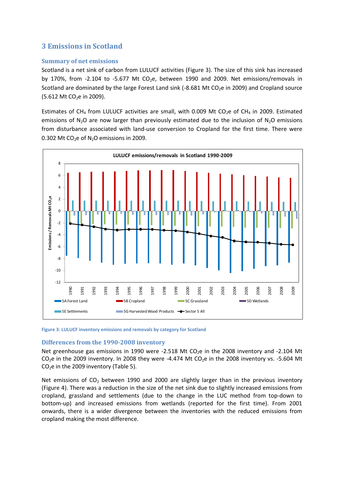# **3 Emissions in Scotland**

## **Summary of net emissions**

Scotland is a net sink of carbon from LULUCF activities [\(Figure 3\)](#page-7-0). The size of this sink has increased by 170%, from -2.104 to -5.677 Mt  $CO<sub>2</sub>e$ , between 1990 and 2009. Net emissions/removals in Scotland are dominated by the large Forest Land sink (-8.681 Mt CO<sub>2</sub>e in 2009) and Cropland source (5.612 Mt CO<sub>2</sub>e in 2009).

Estimates of CH<sub>4</sub> from LULUCF activities are small, with 0.009 Mt CO<sub>2</sub>e of CH<sub>4</sub> in 2009. Estimated emissions of  $N_2O$  are now larger than previously estimated due to the inclusion of  $N_2O$  emissions from disturbance associated with land-use conversion to Cropland for the first time. There were 0.302 Mt CO<sub>2</sub>e of  $N_2$ O emissions in 2009.



<span id="page-7-0"></span>**Figure 3: LULUCF inventory emissions and removals by category for Scotland**

### **Differences from the 1990-2008 inventory**

Net greenhouse gas emissions in 1990 were -2.518 Mt  $CO<sub>2</sub>$ e in the 2008 inventory and -2.104 Mt  $CO<sub>2</sub>e$  in the 2009 inventory. In 2008 they were -4.474 Mt  $CO<sub>2</sub>e$  in the 2008 inventory vs. -5.604 Mt  $CO<sub>2</sub>e$  in the 2009 inventory [\(Table 5\)](#page-8-0).

Net emissions of  $CO<sub>2</sub>$  between 1990 and 2000 are slightly larger than in the previous inventory [\(Figure 4\)](#page-8-1). There was a reduction in the size of the net sink due to slightly increased emissions from cropland, grassland and settlements (due to the change in the LUC method from top-down to bottom-up) and increased emissions from wetlands (reported for the first time). From 2001 onwards, there is a wider divergence between the inventories with the reduced emissions from cropland making the most difference.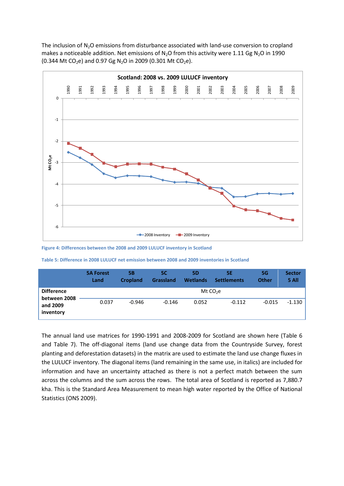The inclusion of  $N_2O$  emissions from disturbance associated with land-use conversion to cropland makes a noticeable addition. Net emissions of  $N_2O$  from this activity were 1.11 Gg  $N_2O$  in 1990 (0.344 Mt CO<sub>2</sub>e) and 0.97 Gg N<sub>2</sub>O in 2009 (0.301 Mt CO<sub>2</sub>e).



<span id="page-8-1"></span>**Figure 4: Differences between the 2008 and 2009 LULUCF inventory in Scotland**

<span id="page-8-0"></span>**Table 5: Difference in 2008 LULUCF net emission between 2008 and 2009 inventories in Scotland**

|                                   | <b>5A Forest</b><br>Land | 5Β<br><b>Cropland</b> | 5C<br><b>Grassland</b> | 5D<br><b>Wetlands</b> | 5Е<br><b>Settlements</b> | 5G<br><b>Other</b> | <b>Sector</b><br>5 All |
|-----------------------------------|--------------------------|-----------------------|------------------------|-----------------------|--------------------------|--------------------|------------------------|
| <b>Difference</b><br>between 2008 |                          |                       |                        | Mt $CO2e$             |                          |                    |                        |
| and 2009<br>inventory             | 0.037                    | $-0.946$              | $-0.146$               | 0.052                 | $-0.112$                 | $-0.015$           | $-1.130$               |

The annual land use matrices for 1990-1991 and 2008-2009 for Scotland are shown here [\(Table 6](#page-9-0) and [Table 7\)](#page-9-1). The off-diagonal items (land use change data from the Countryside Survey, forest planting and deforestation datasets) in the matrix are used to estimate the land use change fluxes in the LULUCF inventory. The diagonal items (land remaining in the same use, in italics) are included for information and have an uncertainty attached as there is not a perfect match between the sum across the columns and the sum across the rows. The total area of Scotland is reported as 7,880.7 kha. This is the Standard Area Measurement to mean high water reported by the Office of National Statistics (ONS 2009).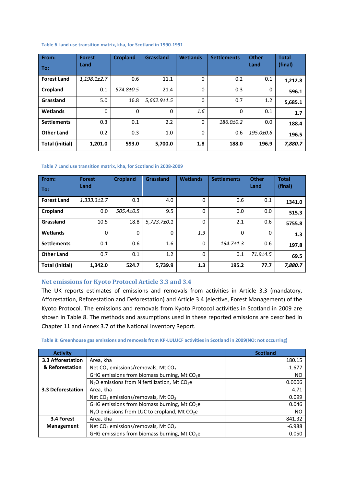#### <span id="page-9-0"></span>**Table 6 Land use transition matrix, kha, for Scotland in 1990-1991**

| From:<br>To:           | <b>Forest</b><br>Land | <b>Cropland</b> | Grassland         | <b>Wetlands</b> | <b>Settlements</b> | <b>Other</b><br>Land | <b>Total</b><br>(final) |
|------------------------|-----------------------|-----------------|-------------------|-----------------|--------------------|----------------------|-------------------------|
| <b>Forest Land</b>     | $1,198.1 \pm 2.7$     | 0.6             | 11.1              | 0               | 0.2                | 0.1                  | 1,212.8                 |
| Cropland               | 0.1                   | 574.8±0.5       | 21.4              | $\mathbf 0$     | 0.3                | $\Omega$             | 596.1                   |
| Grassland              | 5.0                   | 16.8            | $5,662.9 \pm 1.5$ | 0               | 0.7                | 1.2                  | 5,685.1                 |
| Wetlands               | $\mathbf{0}$          | $\Omega$        | 0                 | 1.6             | $\Omega$           | 0.1                  | 1.7                     |
| <b>Settlements</b>     | 0.3                   | 0.1             | 2.2               | $\Omega$        | $186.0 \pm 0.2$    | 0.0                  | 188.4                   |
| <b>Other Land</b>      | 0.2                   | 0.3             | 1.0               | 0               | 0.6                | 195.0±0.6            | 196.5                   |
| <b>Total (initial)</b> | 1,201.0               | 593.0           | 5,700.0           | 1.8             | 188.0              | 196.9                | 7,880.7                 |

#### <span id="page-9-1"></span>**Table 7 Land use transition matrix, kha, for Scotland in 2008-2009**

| From:                  | <b>Forest</b>     | <b>Cropland</b> | Grassland       | <b>Wetlands</b> | <b>Settlements</b> | <b>Other</b>   | <b>Total</b> |
|------------------------|-------------------|-----------------|-----------------|-----------------|--------------------|----------------|--------------|
| To:                    | Land              |                 |                 |                 |                    | Land           | (final)      |
| <b>Forest Land</b>     | $1,333.3{\pm}2.7$ | 0.3             | 4.0             | 0               | 0.6                | 0.1            | 1341.0       |
| Cropland               | 0.0               | 505.4±0.5       | 9.5             | $\Omega$        | 0.0                | 0.0            | 515.3        |
| Grassland              | 10.5              | 18.8            | $5,723.7\pm0.1$ | $\mathbf{0}$    | 2.1                | 0.6            | 5755.8       |
| Wetlands               | 0                 | $\mathbf{0}$    | $\Omega$        | 1.3             | $\Omega$           | $\Omega$       | 1.3          |
| <b>Settlements</b>     | 0.1               | 0.6             | 1.6             | 0               | $194.7 \pm 1.3$    | 0.6            | 197.8        |
| <b>Other Land</b>      | 0.7               | 0.1             | 1.2             | 0               | 0.1                | $71.9 \pm 4.5$ | 69.5         |
| <b>Total (initial)</b> | 1,342.0           | 524.7           | 5,739.9         | 1.3             | 195.2              | 77.7           | 7,880.7      |

### **Net emissions for Kyoto Protocol Article 3.3 and 3.4**

The UK reports estimates of emissions and removals from activities in Article 3.3 (mandatory, Afforestation, Reforestation and Deforestation) and Article 3.4 (elective, Forest Management) of the Kyoto Protocol. The emissions and removals from Kyoto Protocol activities in Scotland in 2009 are shown in [Table 8.](#page-9-2) The methods and assumptions used in these reported emissions are described in Chapter 11 and Annex 3.7 of the National Inventory Report.

| <b>Activity</b>   |                                                              | <b>Scotland</b> |
|-------------------|--------------------------------------------------------------|-----------------|
| 3.3 Afforestation | Area, kha                                                    | 180.15          |
| & Reforestation   | Net CO <sub>2</sub> emissions/removals, Mt CO <sub>2</sub>   | $-1.677$        |
|                   | GHG emissions from biomass burning, Mt $CO2e$                | NO.             |
|                   | $N_2$ O emissions from N fertilization, Mt CO <sub>2</sub> e | 0.0006          |
| 3.3 Deforestation | Area, kha                                                    | 4.71            |
|                   | Net $CO2$ emissions/removals, Mt $CO2$                       | 0.099           |
|                   | GHG emissions from biomass burning, Mt $CO2e$                | 0.046           |
|                   | $N2O$ emissions from LUC to cropland, Mt CO <sub>2</sub> e   | <b>NO</b>       |
| 3.4 Forest        | Area, kha                                                    | 841.32          |
| Management        | Net $CO2$ emissions/removals, Mt $CO2$                       | $-6.988$        |
|                   | GHG emissions from biomass burning, Mt $CO2e$                | 0.050           |

#### <span id="page-9-2"></span>**Table 8: Greenhouse gas emissions and removals from KP-LULUCF activities in Scotland in 2009(NO: not occurring)**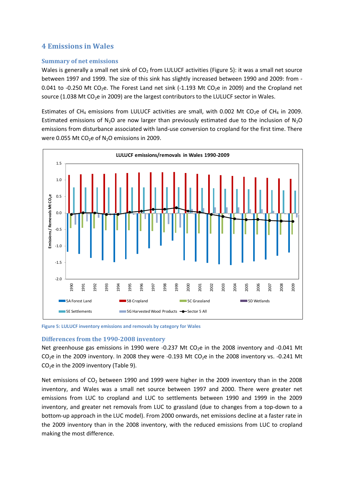# **4 Emissions in Wales**

### **Summary of net emissions**

Wales is generally a small net sink of  $CO<sub>2</sub>$  from LULUCF activities [\(Figure 5\)](#page-10-0): it was a small net source between 1997 and 1999. The size of this sink has slightly increased between 1990 and 2009: from - 0.041 to -0.250 Mt CO<sub>2</sub>e. The Forest Land net sink (-1.193 Mt CO<sub>2</sub>e in 2009) and the Cropland net source (1.038 Mt CO<sub>2</sub>e in 2009) are the largest contributors to the LULUCF sector in Wales.

Estimates of CH<sub>4</sub> emissions from LULUCF activities are small, with 0.002 Mt CO<sub>2</sub>e of CH<sub>4</sub> in 2009. Estimated emissions of N<sub>2</sub>O are now larger than previously estimated due to the inclusion of N<sub>2</sub>O emissions from disturbance associated with land-use conversion to cropland for the first time. There were 0.055 Mt  $CO<sub>2</sub>e$  of N<sub>2</sub>O emissions in 2009.



<span id="page-10-0"></span>**Figure 5: LULUCF inventory emissions and removals by category for Wales**

### **Differences from the 1990-2008 inventory**

Net greenhouse gas emissions in 1990 were -0.237 Mt  $CO<sub>2</sub>e$  in the 2008 inventory and -0.041 Mt  $CO<sub>2</sub>e$  in the 2009 inventory. In 2008 they were -0.193 Mt  $CO<sub>2</sub>e$  in the 2008 inventory vs. -0.241 Mt  $CO<sub>2</sub>e$  in the 2009 inventory [\(Table 9\)](#page-11-0).

Net emissions of  $CO<sub>2</sub>$  between 1990 and 1999 were higher in the 2009 inventory than in the 2008 inventory, and Wales was a small net source between 1997 and 2000. There were greater net emissions from LUC to cropland and LUC to settlements between 1990 and 1999 in the 2009 inventory, and greater net removals from LUC to grassland (due to changes from a top-down to a bottom-up approach in the LUC model). From 2000 onwards, net emissions decline at a faster rate in the 2009 inventory than in the 2008 inventory, with the reduced emissions from LUC to cropland making the most difference.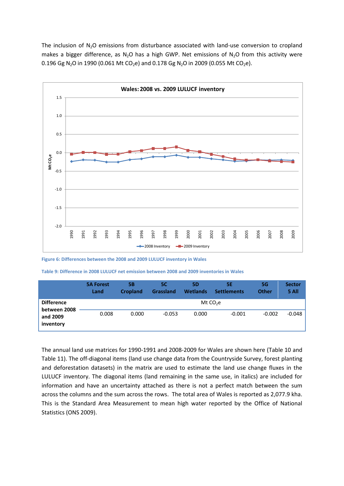The inclusion of  $N_2O$  emissions from disturbance associated with land-use conversion to cropland makes a bigger difference, as N<sub>2</sub>O has a high GWP. Net emissions of N<sub>2</sub>O from this activity were 0.196 Gg N<sub>2</sub>O in 1990 (0.061 Mt CO<sub>2</sub>e) and 0.178 Gg N<sub>2</sub>O in 2009 (0.055 Mt CO<sub>2</sub>e).



**Figure 6: Differences between the 2008 and 2009 LULUCF inventory in Wales**

<span id="page-11-0"></span>**Table 9: Difference in 2008 LULUCF net emission between 2008 and 2009 inventories in Wales**

|                                       | <b>5A Forest</b><br>Land | 5Β<br><b>Cropland</b> | 5C<br><b>Grassland</b> | <b>5D</b><br><b>Wetlands</b> | <b>5E</b><br><b>Settlements</b> | 5G<br><b>Other</b> | <b>Sector</b><br>5 All |
|---------------------------------------|--------------------------|-----------------------|------------------------|------------------------------|---------------------------------|--------------------|------------------------|
| <b>Difference</b>                     |                          |                       |                        |                              | Mt $CO2e$                       |                    |                        |
| between 2008<br>and 2009<br>inventory | 0.008                    | 0.000                 | $-0.053$               | 0.000                        | $-0.001$                        | $-0.002$           | $-0.048$               |

The annual land use matrices for 1990-1991 and 2008-2009 for Wales are shown here [\(Table 10](#page-12-0) and [Table 11\)](#page-12-1). The off-diagonal items (land use change data from the Countryside Survey, forest planting and deforestation datasets) in the matrix are used to estimate the land use change fluxes in the LULUCF inventory. The diagonal items (land remaining in the same use, in italics) are included for information and have an uncertainty attached as there is not a perfect match between the sum across the columns and the sum across the rows. The total area of Wales is reported as 2,077.9 kha. This is the Standard Area Measurement to mean high water reported by the Office of National Statistics (ONS 2009).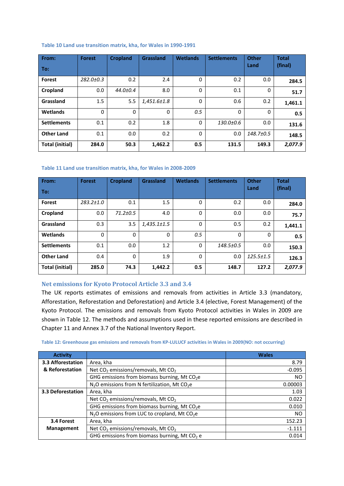#### <span id="page-12-0"></span>**Table 10 Land use transition matrix, kha, for Wales in 1990-1991**

| From:                  | <b>Forest</b>   | <b>Cropland</b> | Grassland         | <b>Wetlands</b> | <b>Settlements</b> | <b>Other</b>    | <b>Total</b> |
|------------------------|-----------------|-----------------|-------------------|-----------------|--------------------|-----------------|--------------|
| To:                    |                 |                 |                   |                 |                    | Land            | (final)      |
| <b>Forest</b>          | $282.0 \pm 0.3$ | 0.2             | 2.4               | $\Omega$        | 0.2                | 0.0             | 284.5        |
| Cropland               | 0.0             | $44.0{\pm}0.4$  | 8.0               | $\Omega$        | 0.1                | 0               | 51.7         |
| Grassland              | 1.5             | 5.5             | $1,451.6{\pm}1.8$ | $\Omega$        | 0.6                | 0.2             | 1,461.1      |
| Wetlands               | $\Omega$        | $\Omega$        | $\Omega$          | 0.5             | $\Omega$           | 0               | 0.5          |
| <b>Settlements</b>     | 0.1             | 0.2             | 1.8               | $\Omega$        | 130.0±0.6          | 0.0             | 131.6        |
| <b>Other Land</b>      | 0.1             | 0.0             | 0.2               | $\Omega$        | 0.0                | $148.7 \pm 0.5$ | 148.5        |
| <b>Total (initial)</b> | 284.0           | 50.3            | 1,462.2           | 0.5             | 131.5              | 149.3           | 2,077.9      |

#### <span id="page-12-1"></span>**Table 11 Land use transition matrix, kha, for Wales in 2008-2009**

| From:                  | <b>Forest</b>   | <b>Cropland</b> | <b>Grassland</b>  | <b>Wetlands</b> | <b>Settlements</b> | <b>Other</b>    | <b>Total</b> |
|------------------------|-----------------|-----------------|-------------------|-----------------|--------------------|-----------------|--------------|
| To:                    |                 |                 |                   |                 |                    | Land            | (final)      |
| <b>Forest</b>          | $283.2 \pm 1.0$ | 0.1             | 1.5               | $\Omega$        | 0.2                | 0.0             | 284.0        |
| Cropland               | 0.0             | $71.2 \pm 0.5$  | 4.0               | $\Omega$        | 0.0                | 0.0             | 75.7         |
| Grassland              | 0.3             | 3.5             | $1,435.1 \pm 1.5$ | $\Omega$        | 0.5                | 0.2             | 1,441.1      |
| Wetlands               | 0               | $\Omega$        | 0                 | 0.5             | 0                  | 0               | 0.5          |
| <b>Settlements</b>     | 0.1             | 0.0             | 1.2               | $\Omega$        | 148.5±0.5          | 0.0             | 150.3        |
| <b>Other Land</b>      | 0.4             | $\Omega$        | 1.9               | $\Omega$        | 0.0                | $125.5 \pm 1.5$ | 126.3        |
| <b>Total (initial)</b> | 285.0           | 74.3            | 1,442.2           | 0.5             | 148.7              | 127.2           | 2,077.9      |

## **Net emissions for Kyoto Protocol Article 3.3 and 3.4**

The UK reports estimates of emissions and removals from activities in Article 3.3 (mandatory, Afforestation, Reforestation and Deforestation) and Article 3.4 (elective, Forest Management) of the Kyoto Protocol. The emissions and removals from Kyoto Protocol activities in Wales in 2009 are shown in [Table 12.](#page-12-2) The methods and assumptions used in these reported emissions are described in Chapter 11 and Annex 3.7 of the National Inventory Report.

#### <span id="page-12-2"></span>**Table 12: Greenhouse gas emissions and removals from KP-LULUCF activities in Wales in 2009(NO: not occurring)**

| <b>Activity</b>   |                                                              | <b>Wales</b> |
|-------------------|--------------------------------------------------------------|--------------|
| 3.3 Afforestation | Area, kha                                                    | 8.79         |
| & Reforestation   | Net $CO2$ emissions/removals, Mt $CO2$                       | $-0.095$     |
|                   | GHG emissions from biomass burning, Mt $CO2e$                | NO.          |
|                   | $N2O$ emissions from N fertilization, Mt CO <sub>2</sub> e   | 0.00003      |
| 3.3 Deforestation | Area, kha                                                    | 1.03         |
|                   | Net $CO2$ emissions/removals, Mt $CO2$                       | 0.022        |
|                   | GHG emissions from biomass burning, Mt $CO2e$                | 0.010        |
|                   | $N_2$ O emissions from LUC to cropland, Mt CO <sub>2</sub> e | NO.          |
| 3.4 Forest        | Area, kha                                                    | 152.23       |
| <b>Management</b> | Net $CO2$ emissions/removals, Mt $CO2$                       | $-1.111$     |
|                   | GHG emissions from biomass burning, Mt $CO2$ e               | 0.014        |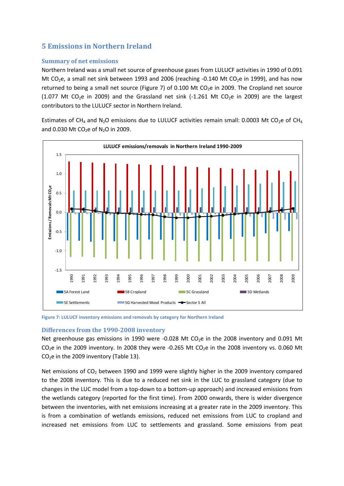# **5 Emissions in Northern Ireland**

## **Summary of net emissions**

Northern Ireland was a small net source of greenhouse gases from LULUCF activities in 1990 of 0.091 Mt CO<sub>2</sub>e, a small net sink between 1993 and 2006 (reaching -0.140 Mt CO<sub>2</sub>e in 1999), and has now returned to being a small net source [\(Figure 7\)](#page-13-0) of 0.100 Mt CO<sub>2</sub>e in 2009. The Cropland net source (1.077 Mt CO<sub>2</sub>e in 2009) and the Grassland net sink (-1.261 Mt CO<sub>2</sub>e in 2009) are the largest contributors to the LULUCF sector in Northern Ireland.

Estimates of CH<sub>4</sub> and N<sub>2</sub>O emissions due to LULUCF activities remain small: 0.0003 Mt CO<sub>2</sub>e of CH<sub>4</sub> and 0.030 Mt  $CO<sub>2</sub>e$  of N<sub>2</sub>O in 2009.



<span id="page-13-0"></span>**Figure 7: LULUCF inventory emissions and removals by category for Northern Ireland**

### **Differences from the 1990-2008 inventory**

Net greenhouse gas emissions in 1990 were -0.028 Mt CO<sub>2</sub>e in the 2008 inventory and 0.091 Mt  $CO<sub>2</sub>e$  in the 2009 inventory. In 2008 they were -0.265 Mt  $CO<sub>2</sub>e$  in the 2008 inventory vs. 0.060 Mt  $CO<sub>2</sub>e$  in the 2009 inventory [\(Table 13\)](#page-14-0).

Net emissions of CO<sub>2</sub> between 1990 and 1999 were slightly higher in the 2009 inventory compared to the 2008 inventory. This is due to a reduced net sink in the LUC to grassland category (due to changes in the LUC model from a top-down to a bottom-up approach) and increased emissions from the wetlands category (reported for the first time). From 2000 onwards, there is wider divergence between the inventories, with net emissions increasing at a greater rate in the 2009 inventory. This is from a combination of wetlands emissions, reduced net emissions from LUC to cropland and increased net emissions from LUC to settlements and grassland. Some emissions from peat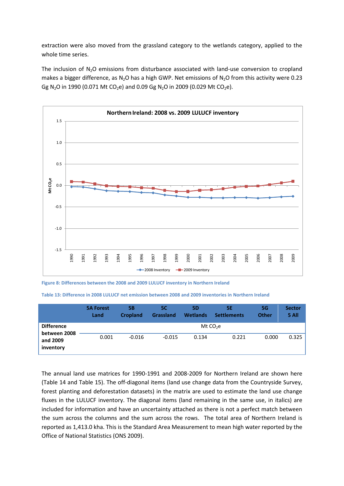extraction were also moved from the grassland category to the wetlands category, applied to the whole time series.

The inclusion of  $N_2O$  emissions from disturbance associated with land-use conversion to cropland makes a bigger difference, as  $N_2O$  has a high GWP. Net emissions of  $N_2O$  from this activity were 0.23 Gg N<sub>2</sub>O in 1990 (0.071 Mt CO<sub>2</sub>e) and 0.09 Gg N<sub>2</sub>O in 2009 (0.029 Mt CO<sub>2</sub>e).



**Figure 8: Differences between the 2008 and 2009 LULUCF inventory in Northern Ireland**

<span id="page-14-0"></span>**Table 13: Difference in 2008 LULUCF net emission between 2008 and 2009 inventories in Northern Ireland**

|                                       | <b>5A Forest</b><br>Land | 5Β<br><b>Cropland</b> | 5C<br><b>Grassland</b> | <b>5D</b><br><b>Wetlands</b> | 5E<br><b>Settlements</b> | <b>5G</b><br><b>Other</b> | <b>Sector</b><br>5 All |
|---------------------------------------|--------------------------|-----------------------|------------------------|------------------------------|--------------------------|---------------------------|------------------------|
| <b>Difference</b>                     |                          | Mt $CO2e$             |                        |                              |                          |                           |                        |
| between 2008<br>and 2009<br>inventory | 0.001                    | $-0.016$              | $-0.015$               | 0.134                        | 0.221                    | 0.000                     | 0.325                  |

The annual land use matrices for 1990-1991 and 2008-2009 for Northern Ireland are shown here [\(Table 14](#page-15-0) and [Table 15\)](#page-15-1). The off-diagonal items (land use change data from the Countryside Survey, forest planting and deforestation datasets) in the matrix are used to estimate the land use change fluxes in the LULUCF inventory. The diagonal items (land remaining in the same use, in italics) are included for information and have an uncertainty attached as there is not a perfect match between the sum across the columns and the sum across the rows. The total area of Northern Ireland is reported as 1,413.0 kha. This is the Standard Area Measurement to mean high water reported by the Office of National Statistics (ONS 2009).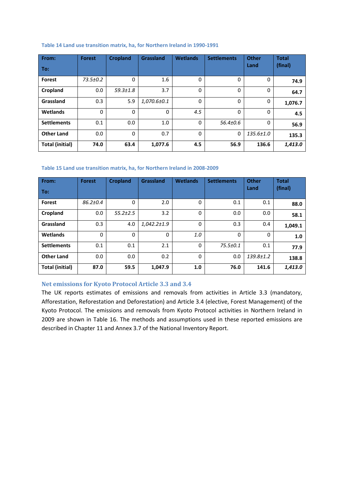#### <span id="page-15-0"></span>**Table 14 Land use transition matrix, ha, for Northern Ireland in 1990-1991**

| From:                  | <b>Forest</b>  | <b>Cropland</b> | <b>Grassland</b>  | <b>Wetlands</b> | <b>Settlements</b> | <b>Other</b>    | <b>Total</b> |
|------------------------|----------------|-----------------|-------------------|-----------------|--------------------|-----------------|--------------|
| To:                    |                |                 |                   |                 |                    | Land            | (final)      |
| <b>Forest</b>          | $73.5 \pm 0.2$ | 0               | 1.6               | 0               | 0                  | 0               | 74.9         |
| Cropland               | 0.0            | $59.3 \pm 1.8$  | 3.7               | $\Omega$        | $\Omega$           | $\Omega$        | 64.7         |
| Grassland              | 0.3            | 5.9             | $1,070.6 \pm 0.1$ | 0               | $\Omega$           | 0               | 1,076.7      |
| Wetlands               | 0              | 0               | 0                 | 4.5             | 0                  | 0               | 4.5          |
| <b>Settlements</b>     | 0.1            | 0.0             | 1.0               | 0               | $56.4{\pm}0.6$     | $\Omega$        | 56.9         |
| <b>Other Land</b>      | 0.0            | 0               | 0.7               | 0               | $\mathbf 0$        | $135.6 \pm 1.0$ | 135.3        |
| <b>Total (initial)</b> | 74.0           | 63.4            | 1,077.6           | 4.5             | 56.9               | 136.6           | 1,413.0      |

#### <span id="page-15-1"></span>**Table 15 Land use transition matrix, ha, for Northern Ireland in 2008-2009**

| From:                  | <b>Forest</b>  | <b>Cropland</b> | <b>Grassland</b>  | <b>Wetlands</b> | <b>Settlements</b> | <b>Other</b>    | <b>Total</b> |
|------------------------|----------------|-----------------|-------------------|-----------------|--------------------|-----------------|--------------|
| To:                    |                |                 |                   |                 |                    | Land            | (final)      |
| <b>Forest</b>          | $86.2{\pm}0.4$ | 0               | 2.0               | 0               | 0.1                | 0.1             | 88.0         |
| Cropland               | 0.0            | $55.2 \pm 2.5$  | 3.2               | 0               | 0.0                | 0.0             | 58.1         |
| Grassland              | 0.3            | 4.0             | $1,042.2 \pm 1.9$ | 0               | 0.3                | 0.4             | 1,049.1      |
| Wetlands               | $\mathbf{0}$   | 0               | 0                 | 1.0             | 0                  | 0               | 1.0          |
| <b>Settlements</b>     | 0.1            | 0.1             | 2.1               | 0               | $75.5 \pm 0.1$     | 0.1             | 77.9         |
| <b>Other Land</b>      | 0.0            | 0.0             | 0.2               | 0               | 0.0                | $139.8 \pm 1.2$ | 138.8        |
| <b>Total (initial)</b> | 87.0           | 59.5            | 1,047.9           | 1.0             | 76.0               | 141.6           | 1,413.0      |

## **Net emissions for Kyoto Protocol Article 3.3 and 3.4**

The UK reports estimates of emissions and removals from activities in Article 3.3 (mandatory, Afforestation, Reforestation and Deforestation) and Article 3.4 (elective, Forest Management) of the Kyoto Protocol. The emissions and removals from Kyoto Protocol activities in Northern Ireland in 2009 are shown in [Table 16.](#page-16-0) The methods and assumptions used in these reported emissions are described in Chapter 11 and Annex 3.7 of the National Inventory Report.